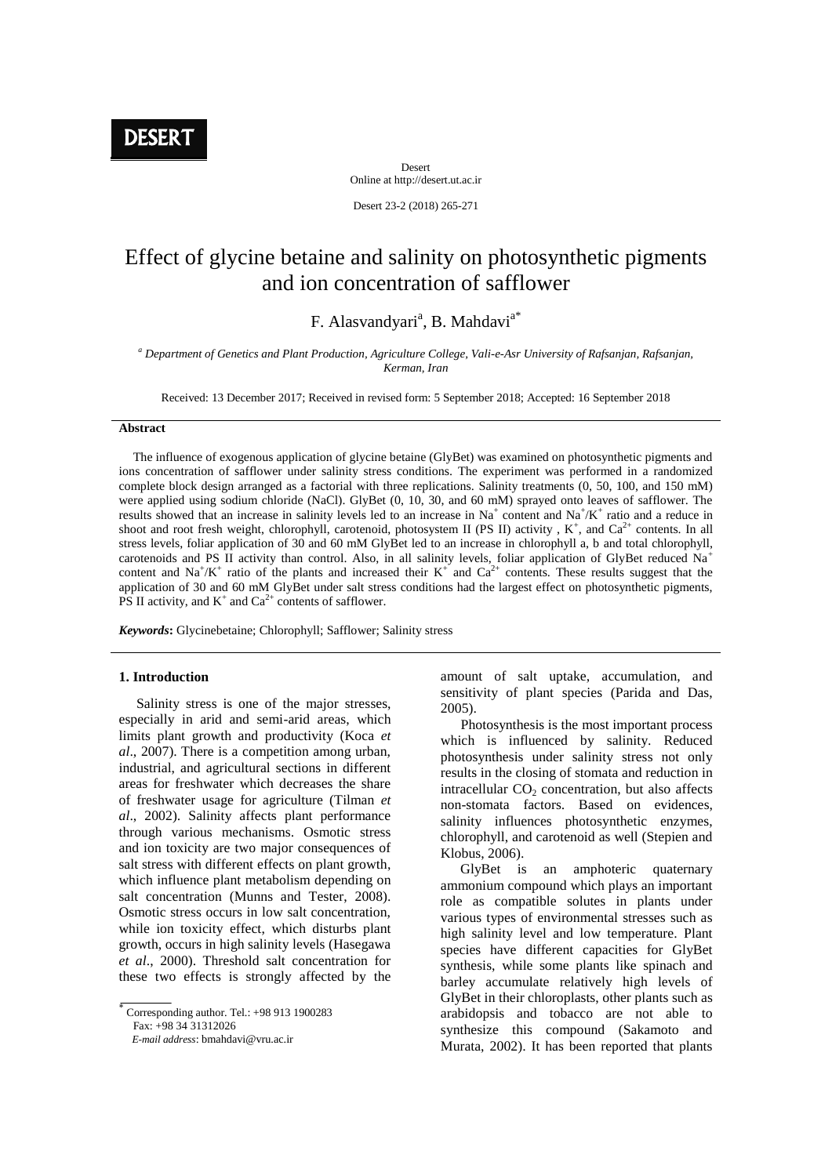Desert Online at http://desert.ut.ac.ir

Desert 23-2 (2018) 265-271

# Effect of glycine betaine and salinity on photosynthetic pigments and ion concentration of safflower

# F. Alasvandyari<sup>a</sup>, B. Mahdavi<sup>a\*</sup>

*<sup>a</sup> Department of Genetics and Plant Production, Agriculture College, Vali-e-Asr University of Rafsanjan, Rafsanjan, Kerman, Iran*

Received: 13 December 2017; Received in revised form: 5 September 2018; Accepted: 16 September 2018

# **Abstract**

 The influence of exogenous application of glycine betaine (GlyBet) was examined on photosynthetic pigments and ions concentration of safflower under salinity stress conditions. The experiment was performed in a randomized complete block design arranged as a factorial with three replications. Salinity treatments (0, 50, 100, and 150 mM) were applied using sodium chloride (NaCl). GlyBet (0, 10, 30, and 60 mM) sprayed onto leaves of safflower. The results showed that an increase in salinity levels led to an increase in Na<sup>+</sup> content and Na<sup>+</sup>/K<sup>+</sup> ratio and a reduce in shoot and root fresh weight, chlorophyll, carotenoid, photosystem II (PS II) activity,  $K^+$ , and  $Ca^{2+}$  contents. In all stress levels, foliar application of 30 and 60 mM GlyBet led to an increase in chlorophyll a, b and total chlorophyll, carotenoids and PS II activity than control. Also, in all salinity levels, foliar application of GlyBet reduced Na<sup>+</sup> content and Na<sup>+</sup>/K<sup>+</sup> ratio of the plants and increased their K<sup>+</sup> and Ca<sup>2+</sup> contents. These results suggest that the application of 30 and 60 mM GlyBet under salt stress conditions had the largest effect on photosynthetic pigments, PS II activity, and  $K^+$  and  $Ca^{2+}$  contents of safflower.

*Keywords***:** Glycinebetaine; Chlorophyll; Safflower; Salinity stress

### **1. Introduction**

 Salinity stress is one of the major stresses, especially in arid and semi-arid areas, which limits plant growth and productivity (Koca *et al*., 2007). There is a competition among urban, industrial, and agricultural sections in different areas for freshwater which decreases the share of freshwater usage for agriculture (Tilman *et al*., 2002). Salinity affects plant performance through various mechanisms. Osmotic stress and ion toxicity are two major consequences of salt stress with different effects on plant growth, which influence plant metabolism depending on salt concentration (Munns and Tester, 2008). Osmotic stress occurs in low salt concentration, while ion toxicity effect, which disturbs plant growth, occurs in high salinity levels (Hasegawa *et al*., 2000). Threshold salt concentration for these two effects is strongly affected by the

 *E-mail address*: bmahdavi@vru.ac.ir

amount of salt uptake, accumulation, and sensitivity of plant species (Parida and Das, 2005).

Photosynthesis is the most important process which is influenced by salinity. Reduced photosynthesis under salinity stress not only results in the closing of stomata and reduction in intracellular  $CO<sub>2</sub>$  concentration, but also affects non-stomata factors. Based on evidences, salinity influences photosynthetic enzymes, chlorophyll, and carotenoid as well (Stepien and Klobus, 2006).

GlyBet is an amphoteric quaternary ammonium compound which plays an important role as compatible solutes in plants under various types of environmental stresses such as high salinity level and low temperature. Plant species have different capacities for GlyBet synthesis, while some plants like spinach and barley accumulate relatively high levels of GlyBet in their chloroplasts, other plants such as arabidopsis and tobacco are not able to synthesize this compound (Sakamoto and Murata, 2002). It has been reported that plants

ł Corresponding author. Tel.: +98 913 1900283  $F_{9X}$ :  $+98$  34 31312026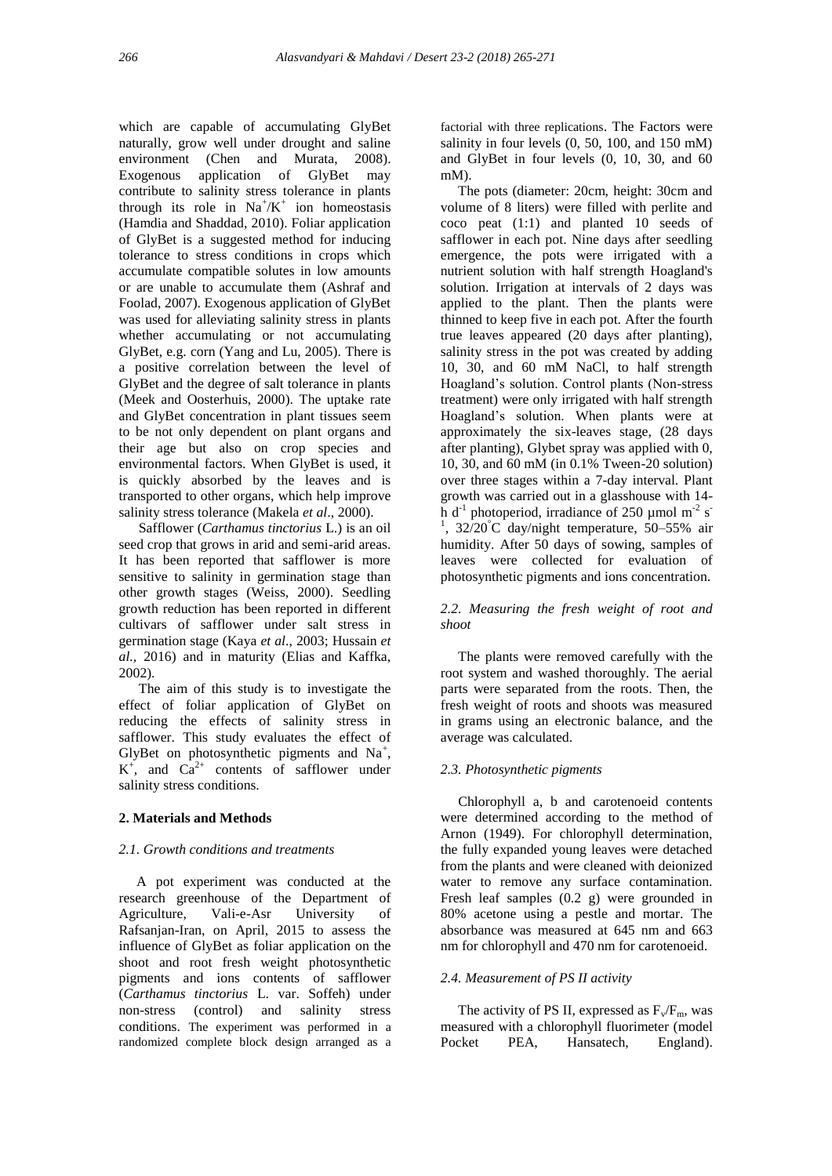which are capable of accumulating GlyBet naturally, grow well under drought and saline environment (Chen and Murata, 2008). Exogenous application of GlyBet may contribute to salinity stress tolerance in plants through its role in  $Na^{+}/K^{+}$  ion homeostasis (Hamdia and Shaddad, 2010). Foliar application of GlyBet is a suggested method for inducing tolerance to stress conditions in crops which accumulate compatible solutes in low amounts or are unable to accumulate them (Ashraf and Foolad, 2007). Exogenous application of GlyBet was used for alleviating salinity stress in plants whether accumulating or not accumulating GlyBet, e.g. corn (Yang and Lu, 2005). There is a positive correlation between the level of GlyBet and the degree of salt tolerance in plants (Meek and Oosterhuis, 2000). The uptake rate and GlyBet concentration in plant tissues seem to be not only dependent on plant organs and their age but also on crop species and environmental factors. When GlyBet is used, it is quickly absorbed by the leaves and is transported to other organs, which help improve salinity stress tolerance (Makela *et al*., 2000).

Safflower (*Carthamus tinctorius* L.) is an oil seed crop that grows in arid and semi-arid areas. It has been reported that safflower is more sensitive to salinity in germination stage than other growth stages (Weiss, 2000). Seedling growth reduction has been reported in different cultivars of safflower under salt stress in germination stage (Kaya *et al*., 2003; Hussain *et al.,* 2016) and in maturity (Elias and Kaffka, 2002).

The aim of this study is to investigate the effect of foliar application of GlyBet on reducing the effects of salinity stress in safflower. This study evaluates the effect of GlyBet on photosynthetic pigments and Na<sup>+</sup>,  $K^+$ , and  $Ca^{2+}$  contents of safflower under salinity stress conditions.

#### **2. Materials and Methods**

#### *2.1. Growth conditions and treatments*

 A pot experiment was conducted at the research greenhouse of the Department of Agriculture, Vali-e-Asr University of Rafsanjan-Iran, on April, 2015 to assess the influence of GlyBet as foliar application on the shoot and root fresh weight photosynthetic pigments and ions contents of safflower (*Carthamus tinctorius* L. var. Soffeh) under non-stress (control) and salinity stress conditions. The experiment was performed in a randomized complete block design arranged as a

factorial with three replications. The Factors were salinity in four levels (0, 50, 100, and 150 mM) and GlyBet in four levels (0, 10, 30, and 60 mM).

 The pots (diameter: 20cm, height: 30cm and volume of 8 liters) were filled with perlite and coco peat (1:1) and planted 10 seeds of safflower in each pot. Nine days after seedling emergence, the pots were irrigated with a nutrient solution with half strength Hoagland's solution. Irrigation at intervals of 2 days was applied to the plant. Then the plants were thinned to keep five in each pot. After the fourth true leaves appeared (20 days after planting), salinity stress in the pot was created by adding 10, 30, and 60 mM NaCl, to half strength Hoagland's solution. Control plants (Non-stress treatment) were only irrigated with half strength Hoagland's solution. When plants were at approximately the six-leaves stage, (28 days after planting), Glybet spray was applied with 0, 10, 30, and 60 mM (in 0.1% Tween-20 solution) over three stages within a 7-day interval. Plant growth was carried out in a glasshouse with 14 h d<sup>-1</sup> photoperiod, irradiance of 250 µmol m<sup>-2</sup> s<sup>-</sup> <sup>1</sup>,  $32/20^{\circ}$ C day/night temperature, 50–55% air humidity. After 50 days of sowing, samples of leaves were collected for evaluation of photosynthetic pigments and ions concentration.

# *2.2. Measuring the fresh weight of root and shoot*

 The plants were removed carefully with the root system and washed thoroughly. The aerial parts were separated from the roots. Then, the fresh weight of roots and shoots was measured in grams using an electronic balance, and the average was calculated.

#### *2.3. Photosynthetic pigments*

 Chlorophyll a, b and carotenoeid contents were determined according to the method of Arnon (1949). For chlorophyll determination, the fully expanded young leaves were detached from the plants and were cleaned with deionized water to remove any surface contamination. Fresh leaf samples (0.2 g) were grounded in 80% acetone using a pestle and mortar. The absorbance was measured at 645 nm and 663 nm for chlorophyll and 470 nm for carotenoeid.

# *2.4. Measurement of PS II activity*

The activity of PS II, expressed as  $F_v/F_m$ , was measured with a chlorophyll fluorimeter (model Pocket PEA, Hansatech, England).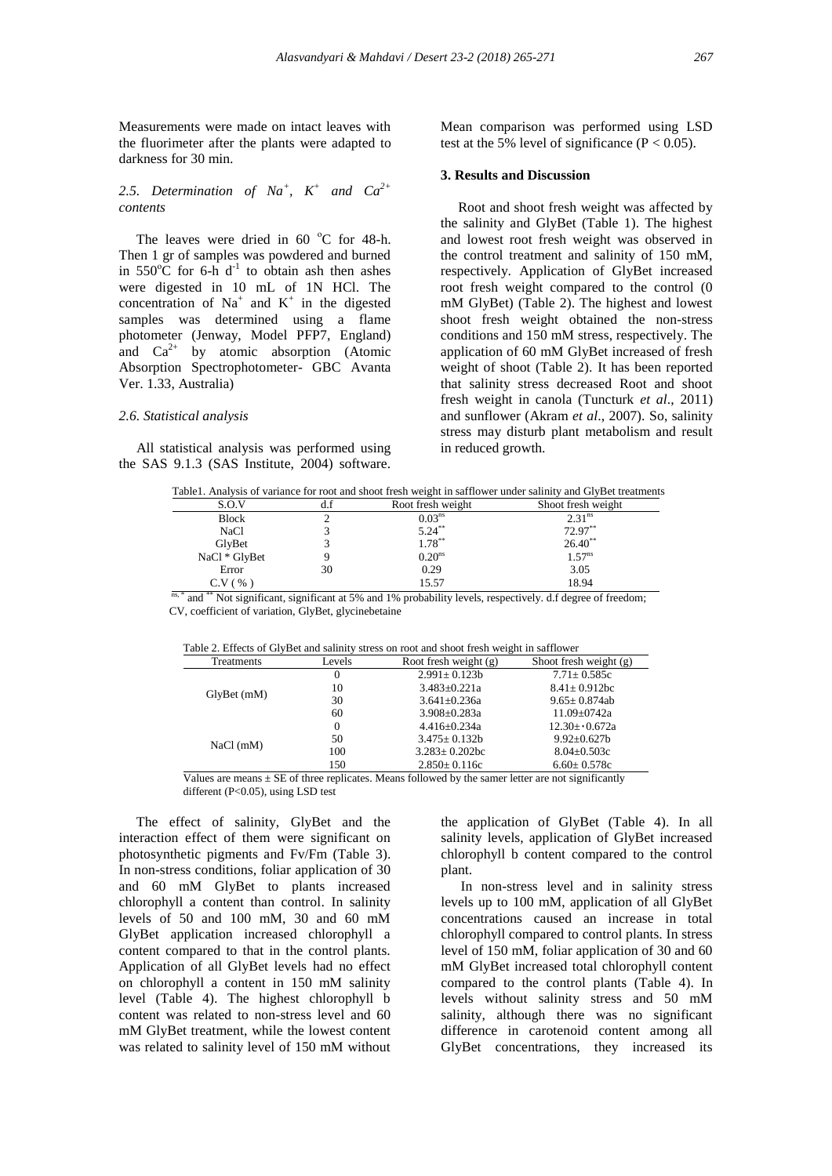Measurements were made on intact leaves with the fluorimeter after the plants were adapted to darkness for 30 min.

# 2.5. Determination of  $Na^+$ ,  $K^+$  and  $Ca^{2+}$ *contents*

The leaves were dried in  $60^{\circ}$ C for 48-h. Then 1 gr of samples was powdered and burned in  $550^{\circ}$ C for 6-h d<sup>-1</sup> to obtain ash then ashes were digested in 10 mL of 1N HCl. The concentration of  $Na<sup>+</sup>$  and  $K<sup>+</sup>$  in the digested samples was determined using a flame photometer (Jenway, Model PFP7, England) and  $Ca^{2+}$  by atomic absorption (Atomic Absorption Spectrophotometer- GBC Avanta Ver. 1.33, Australia)

#### *2.6. Statistical analysis*

 All statistical analysis was performed using the SAS 9.1.3 (SAS Institute, 2004) software. Mean comparison was performed using LSD test at the 5% level of significance ( $P < 0.05$ ).

### **3. Results and Discussion**

 Root and shoot fresh weight was affected by the salinity and GlyBet (Table 1). The highest and lowest root fresh weight was observed in the control treatment and salinity of 150 mM, respectively. Application of GlyBet increased root fresh weight compared to the control (0 mM GlyBet) (Table 2). The highest and lowest shoot fresh weight obtained the non-stress conditions and 150 mM stress, respectively. The application of 60 mM GlyBet increased of fresh weight of shoot (Table 2). It has been reported that salinity stress decreased Root and shoot fresh weight in canola (Tuncturk *et al*., 2011) and sunflower (Akram *et al*., 2007). So, salinity stress may disturb plant metabolism and result in reduced growth.

| S.O.V         | d.f | Root fresh weight  | Shoot fresh weight |
|---------------|-----|--------------------|--------------------|
| Block         |     | 0.03 <sup>ns</sup> | 2.31 <sup>ns</sup> |
| NaC1          |     | $5.24***$          | 72.97**            |
| GlvBet        |     | $1.78***$          | $26.40^{**}$       |
| NaCl * GlyBet |     | 0.20 <sup>ns</sup> | $1.57^{ns}$        |
| Error         | 30  | 0.29               | 3.05               |
| C.V ( %       |     | 15.57              | 18.94              |

ns, \* and \*\* Not significant, significant at 5% and 1% probability levels, respectively. d.f degree of freedom; CV, coefficient of variation, GlyBet, glycinebetaine

| able 2. Effects of OryBet and sammly stress on foot and shoot fresh weight in safflower |          |                         |                          |  |  |  |  |
|-----------------------------------------------------------------------------------------|----------|-------------------------|--------------------------|--|--|--|--|
| Treatments                                                                              | Levels   | Root fresh weight $(g)$ | Shoot fresh weight $(g)$ |  |  |  |  |
|                                                                                         | $\theta$ | $2.991 \pm 0.123b$      | $7.71 \pm 0.585c$        |  |  |  |  |
|                                                                                         | 10       | $3.483 \pm 0.221a$      | $8.41 \pm 0.912$ bc      |  |  |  |  |
| $Gly$ Bet $(mM)$                                                                        | 30       | $3.641 \pm 0.236a$      | $9.65 \pm 0.874$ ab      |  |  |  |  |
|                                                                                         | 60       | $3.908 \pm 0.283a$      | $11.09 + 0742a$          |  |  |  |  |
|                                                                                         | $\Omega$ | $4.416 \pm 0.234a$      | $12.30 \pm 0.672a$       |  |  |  |  |
|                                                                                         | 50       | $3.475 \pm 0.132b$      | $9.92 \pm 0.627$ b       |  |  |  |  |
| $NaCl$ (mM)                                                                             | 100      | $3.283 \pm 0.202$ bc    | $8.04 \pm 0.503c$        |  |  |  |  |
|                                                                                         | 150      | $2.850 \pm 0.116c$      | $6.60 \pm 0.578c$        |  |  |  |  |

|  | Table 2. Effects of GlyBet and salinity stress on root and shoot fresh weight in safflower |
|--|--------------------------------------------------------------------------------------------|
|  |                                                                                            |

Values are means  $\pm$  SE of three replicates. Means followed by the samer letter are not significantly different (P<0.05), using LSD test

 The effect of salinity, GlyBet and the interaction effect of them were significant on photosynthetic pigments and Fv/Fm (Table 3). In non-stress conditions, foliar application of 30 and 60 mM GlyBet to plants increased chlorophyll a content than control. In salinity levels of 50 and 100 mM, 30 and 60 mM GlyBet application increased chlorophyll a content compared to that in the control plants. Application of all GlyBet levels had no effect on chlorophyll a content in 150 mM salinity level (Table 4). The highest chlorophyll b content was related to non-stress level and 60 mM GlyBet treatment, while the lowest content was related to salinity level of 150 mM without the application of GlyBet (Table 4). In all salinity levels, application of GlyBet increased chlorophyll b content compared to the control plant.

In non-stress level and in salinity stress levels up to 100 mM, application of all GlyBet concentrations caused an increase in total chlorophyll compared to control plants. In stress level of 150 mM, foliar application of 30 and 60 mM GlyBet increased total chlorophyll content compared to the control plants (Table 4). In levels without salinity stress and 50 mM salinity, although there was no significant difference in carotenoid content among all GlyBet concentrations, they increased its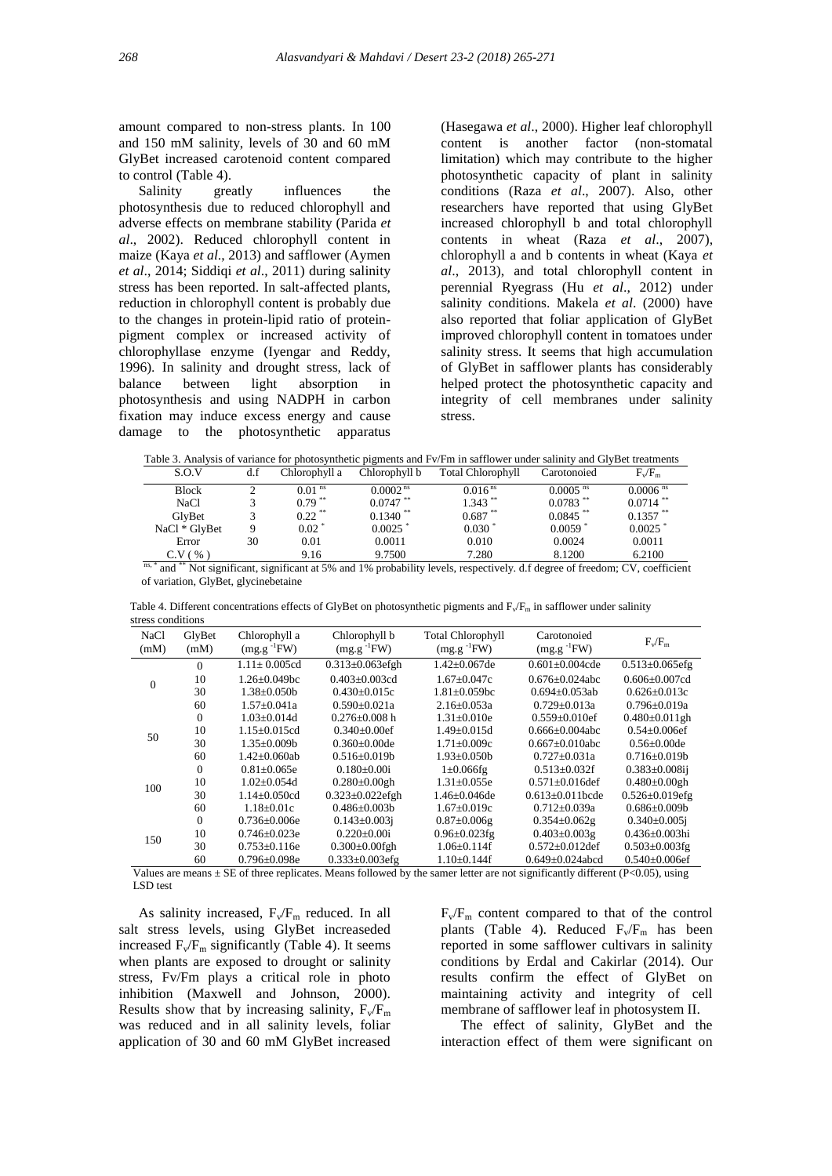amount compared to non-stress plants. In 100 and 150 mM salinity, levels of 30 and 60 mM GlyBet increased carotenoid content compared to control (Table 4).

Salinity greatly influences the photosynthesis due to reduced chlorophyll and adverse effects on membrane stability (Parida *et al*., 2002). Reduced chlorophyll content in maize (Kaya *et al*., 2013) and safflower (Aymen *et al*., 2014; Siddiqi *et al*., 2011) during salinity stress has been reported. In salt-affected plants, reduction in chlorophyll content is probably due to the changes in protein-lipid ratio of proteinpigment complex or increased activity of chlorophyllase enzyme (Iyengar and Reddy, 1996). In salinity and drought stress, lack of balance between light absorption in photosynthesis and using NADPH in carbon fixation may induce excess energy and cause damage to the photosynthetic apparatus

(Hasegawa *et al*., 2000). Higher leaf chlorophyll content is another factor (non-stomatal limitation) which may contribute to the higher photosynthetic capacity of plant in salinity conditions (Raza *et al*., 2007). Also, other researchers have reported that using GlyBet increased chlorophyll b and total chlorophyll contents in wheat (Raza *et al*., 2007), chlorophyll a and b contents in wheat (Kaya *et al*., 2013), and total chlorophyll content in perennial Ryegrass (Hu *et al*., 2012) under salinity conditions. Makela *et al*. (2000) have also reported that foliar application of GlyBet improved chlorophyll content in tomatoes under salinity stress. It seems that high accumulation of GlyBet in safflower plants has considerably helped protect the photosynthetic capacity and integrity of cell membranes under salinity stress.

Table 3. Analysis of variance for photosynthetic pigments and Fv/Fm in safflower under salinity and GlyBet treatments

| S.O.V                               | d.f | Chlorophyll a         | Chlorophyll b          | <b>Total Chlorophyll</b> | Carotonoied            | $F_v/F_m$              |
|-------------------------------------|-----|-----------------------|------------------------|--------------------------|------------------------|------------------------|
| <b>Block</b>                        |     | $0.01$ <sup>ns</sup>  | 0.0002 <sup>ns</sup>   | 0.016 <sup>ns</sup>      | $0.0005$ <sup>ns</sup> | $0.0006$ <sup>ns</sup> |
| NaCl                                |     | $0.79***$             | $0.0747$ <sup>**</sup> | $1.343$ <sup>**</sup>    | $0.0783$ <sup>**</sup> | $0.0714$ <sup>**</sup> |
| GlvBet                              |     | $0.22$ <sup>**</sup>  | $0.1340$ <sup>**</sup> | $0.687$ **               | $0.0845$ <sup>**</sup> | $0.1357$ **            |
| NaCl * GlyBet                       |     | $0.02$ $*$            | 0.0025                 | $0.030*$                 | $0.0059$ <sup>*</sup>  | 0.0025                 |
| Error                               | 30  | 0.01                  | 0.0011                 | 0.010                    | 0.0024                 | 0.0011                 |
| C.V ( %<br>$-2$ $-2$ $-2$ $-2$<br>. |     | 9.16<br>$\sim$ $\sim$ | 9.7500                 | 7.280                    | 8.1200<br>.            | 6.2100                 |

ns, \* and \*\* Not significant, significant at 5% and 1% probability levels, respectively. d.f degree of freedom; CV, coefficient of variation, GlyBet, glycinebetaine

NaCl  $(mM)$ GlyBet (mM) Chlorophyll a  $(mg.g^{-1}FW)$ Chlorophyll b  $(mg.g^{-1}FW)$ Total Chlorophyll  $(mg.g^{-1}FW)$ Carotonoied  $(mg.g^{-1}FW)$  $F_v/F_m$ 0 0  $1.11 \pm 0.005$ cd  $0.313 \pm 0.063$ efgh  $1.42 \pm 0.067$ de  $0.601 \pm 0.004$ cde  $0.513 \pm 0.065$ efg<br>10  $1.26 \pm 0.049$ bc  $0.403 \pm 0.003$ cd  $1.67 \pm 0.047$ c  $0.676 \pm 0.024$ abc  $0.606 \pm 0.007$ cd 10 1.26±0.049bc 0.403±0.003cd 1.67±0.047c 0.676±0.024abc 0.606±0.007cd 30 1.38±0.050b 0.430±0.015c 1.81±0.059bc 0.694±0.053ab 0.626±0.013c 60  $1.57\pm0.041a$   $0.590\pm0.021a$   $2.16\pm0.053a$   $0.729\pm0.013a$   $0.796\pm0.019a$ <br>0  $1.03\pm0.014d$   $0.276\pm0.008h$   $1.31\pm0.010e$   $0.559\pm0.010ef$   $0.480\pm0.011gh$ 50 0 1.03±0.014d  $0.276\pm0.008 \text{ h}$  1.31±0.010e  $0.559\pm0.010e$  0.480±0.011gl<br>10 1.15+0.015cd 0.340+0.00ef 1.49+0.015d 0.666+0.004abc 0.54+0.006ef 10 1.15±0.015cd 0.340±0.00ef 1.49±0.015d 0.666±0.004abc 0.54±0.006ef 30 1.35±0.009b 0.360±0.00de 1.71±0.009c 0.667±0.010abc 0.56±0.00de 60  $1.42 \pm 0.060$ ab  $0.516 \pm 0.019$ b  $1.93 \pm 0.050$   $0.727 \pm 0.031$ a  $0.716 \pm 0.019$ b<br>0.81+0.065e  $0.180 + 0.00$ i  $1+0.066$ fg  $0.513 + 0.032$ f  $0.383 + 0.008$ ii 100  $0.513+0.032f$ 10 1.02±0.054d 0.280±0.00gh 1.31±0.055e 0.571±0.016def 0.480±0.00gh 30  $1.14 \pm 0.050$ cd  $0.323 \pm 0.022$ efgh  $1.46 \pm 0.046$ de  $0.613 \pm 0.011$ bcde  $0.526 \pm 0.019$ efg<br>60  $1.18 \pm 0.01$ c  $0.486 \pm 0.003$ b  $1.67 \pm 0.019$ c  $0.712 \pm 0.039$ a  $0.686 \pm 0.009$ b  $6.63 \pm 0.019c$   $6.712 \pm 0.039a$   $6.686 \pm 0.009b$ <br> $6.87 \pm 0.066g$   $6.354 \pm 0.062g$   $6.340 \pm 0.005j$ 150 0  $0.736 \pm 0.006$ e  $0.143 \pm 0.003$ j  $0.87 \pm 0.006$ g  $0.354 \pm 0.062$ g  $10$   $0.746 \pm 0.023e$   $0.220 \pm 0.00i$   $0.96 \pm 0.023fg$   $0.403 \pm 0.003g$   $0.436 \pm 0.003hi$ <br>30  $0.753 \pm 0.116e$   $0.300 \pm 0.00fgh$   $1.06 \pm 0.114f$   $0.572 \pm 0.012def$   $0.503 \pm 0.003fg$  $30$   $0.753\pm0.116$   $0.300\pm0.00$ fgh  $1.06\pm0.114$ f  $0.572\pm0.012$ def  $0.503\pm0.003$ fg<br>  $60$   $0.796\pm0.098$   $0.333\pm0.003$ efg  $1.10\pm0.144$ f  $0.649\pm0.024$ abed  $0.540\pm0.006$ ef 60  $0.796 \pm 0.098$ e  $0.333 \pm 0.003$ efg  $1.10 \pm 0.144$ f  $0.649 \pm 0.024$ abcd

Table 4. Different concentrations effects of GlyBet on photosynthetic pigments and  $F_v/F_m$  in safflower under salinity stress conditions

Values are means  $\pm$  SE of three replicates. Means followed by the samer letter are not significantly different (P<0.05), using LSD test

As salinity increased,  $F_v/F_m$  reduced. In all salt stress levels, using GlyBet increaseded increased  $F_v/F_m$  significantly (Table 4). It seems when plants are exposed to drought or salinity stress, Fv/Fm plays a critical role in photo inhibition (Maxwell and Johnson, 2000). Results show that by increasing salinity,  $F_v/F_m$ was reduced and in all salinity levels, foliar application of 30 and 60 mM GlyBet increased

 $F_v/F_m$  content compared to that of the control plants (Table 4). Reduced  $F_v/F_m$  has been reported in some safflower cultivars in salinity conditions by Erdal and Cakirlar (2014). Our results confirm the effect of GlyBet on maintaining activity and integrity of cell membrane of safflower leaf in photosystem II.

The effect of salinity, GlyBet and the interaction effect of them were significant on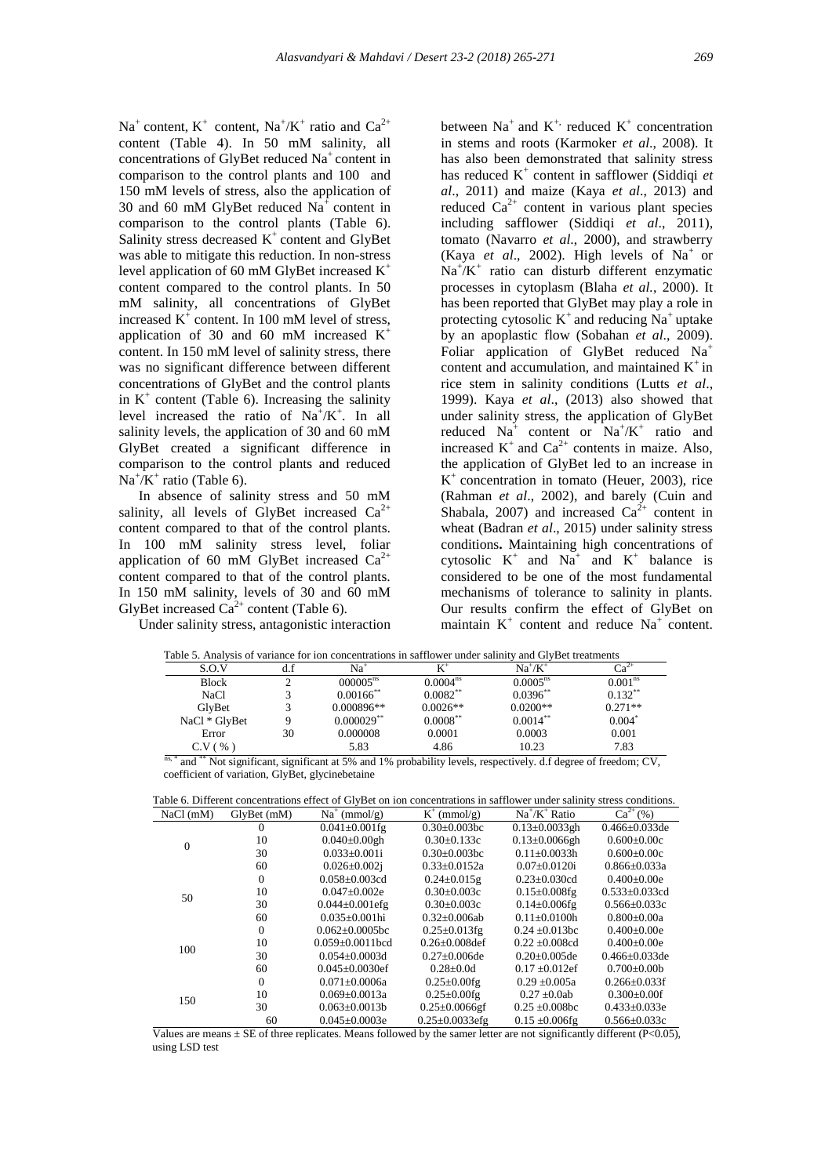$Na<sup>+</sup>$  content,  $K<sup>+</sup>$  content,  $Na<sup>+</sup>/K<sup>+</sup>$  ratio and  $Ca<sup>2+</sup>$ content (Table 4). In 50 mM salinity, all concentrations of GlyBet reduced Na<sup>+</sup> content in comparison to the control plants and 100 and 150 mM levels of stress, also the application of 30 and 60 mM GlyBet reduced  $Na<sup>+</sup>$  content in comparison to the control plants (Table 6). Salinity stress decreased  $K^+$  content and GlyBet was able to mitigate this reduction. In non-stress level application of 60 mM GlyBet increased  $K^+$ content compared to the control plants. In 50 mM salinity, all concentrations of GlyBet increased  $K^+$  content. In 100 mM level of stress, application of 30 and 60 mM increased  $K^+$ content. In 150 mM level of salinity stress, there was no significant difference between different concentrations of GlyBet and the control plants in  $K^+$  content (Table 6). Increasing the salinity level increased the ratio of  $Na^+/K^+$ . In all salinity levels, the application of 30 and 60 mM GlyBet created a significant difference in comparison to the control plants and reduced  $Na^+/K^+$  ratio (Table 6).

In absence of salinity stress and 50 mM salinity, all levels of GlyBet increased  $Ca^{2+}$ content compared to that of the control plants. In 100 mM salinity stress level, foliar application of 60 mM GlyBet increased  $Ca^{2+}$ content compared to that of the control plants. In 150 mM salinity, levels of 30 and 60 mM GlyBet increased  $Ca^{2+}$  content (Table 6).

Under salinity stress, antagonistic interaction

between  $Na^+$  and  $K^+$ , reduced  $K^+$  concentration in stems and roots (Karmoker *et al*., 2008). It has also been demonstrated that salinity stress has reduced K<sup>+</sup> content in safflower (Siddiqi *et al*., 2011) and maize (Kaya *et al*., 2013) and reduced  $Ca^{2+}$  content in various plant species including safflower (Siddiqi *et al*., 2011), tomato (Navarro *et al*., 2000), and strawberry (Kaya *et al.*, 2002). High levels of  $Na<sup>+</sup>$  or  $Na^{+}/K^{+}$  ratio can disturb different enzymatic processes in cytoplasm (Blaha *et al.*, 2000). It has been reported that GlyBet may play a role in protecting cytosolic  $K^+$  and reducing Na<sup>+</sup>uptake by an apoplastic flow (Sobahan *et al*., 2009). Foliar application of GlyBet reduced Na<sup>+</sup> content and accumulation, and maintained  $K^+$  in rice stem in salinity conditions (Lutts *et al*., 1999). Kaya *et al*., (2013) also showed that under salinity stress, the application of GlyBet reduced  $Na<sup>+</sup>$  content or  $Na<sup>+</sup>/K<sup>+</sup>$  ratio and increased  $K^+$  and  $Ca^{2+}$  contents in maize. Also, the application of GlyBet led to an increase in  $K^+$  concentration in tomato (Heuer, 2003), rice (Rahman *et al*., 2002), and barely (Cuin and Shabala, 2007) and increased  $Ca^{2+}$  content in wheat (Badran *et al*., 2015) under salinity stress conditions**.** Maintaining high concentrations of cytosolic  $K^+$  and  $Na^+$  and  $K^+$  balance is considered to be one of the most fundamental mechanisms of tolerance to salinity in plants. Our results confirm the effect of GlyBet on maintain  $K^+$  content and reduce  $Na^+$  content.

|                |                         |                      | Table 9. Pulativists of variance for foll concentrations in safflower under sammly and CiviDet treatments |                     |
|----------------|-------------------------|----------------------|-----------------------------------------------------------------------------------------------------------|---------------------|
|                | Na                      |                      | $\sim$ $+$ $\sigma$ $\sim$<br>Na                                                                          |                     |
| Block          | $000005^{\text{ns}}$    | $1.0004^{\text{ns}}$ | $0.0005^{\text{ns}}$                                                                                      | 0.001 <sup>nc</sup> |
| $N_{\alpha}C1$ | $0.00166$ <sup>**</sup> | $0.002**$            | $0.0206**$                                                                                                | $0.122^{*}$         |

Table 5. Analysis of variance for ion concentrations in safflower under salinity and GlyBet treatments

| 5.0.3                           | u.i           | ina                     | N                    | ina ≠n.              | Uά                                        |
|---------------------------------|---------------|-------------------------|----------------------|----------------------|-------------------------------------------|
| <b>Block</b>                    |               | $000005^{\text{ns}}$    | 0.0004 <sup>ns</sup> | $0.0005^{\text{ns}}$ | 0.001 <sup>ns</sup>                       |
| NaCl                            |               | $0.00166$ <sup>**</sup> | $0.0082**$           | $0.0396**$           | $0.132***$                                |
| GlvBet                          |               | $0.000896**$            | $0.0026**$           | $0.0200**$           | $0.271**$                                 |
| NaCl * GlyBet                   |               | $0.000029$ **           | $0.0008**$           | $0.0014**$           | $0.004*$                                  |
| Error                           | 30            | 0.000008                | 0.0001               | 0.0003               | 0.001                                     |
| $C.V($ %                        |               | 5.83                    | 4.86                 | 10.23                | 7.83                                      |
| $-$ ** $-$<br>$n \wedge 3$<br>. | $\sim$ $\sim$ |                         | .                    | .                    | $ -$<br><b>Contract Contract Contract</b> |

ns, \* and \*\* Not significant, significant at 5% and 1% probability levels, respectively. d.f degree of freedom; CV, coefficient of variation, GlyBet, glycinebetaine

| Table 0. DIHEICHE CONCENTATIONS CHECE OF CHVDEL ON TON CONCENTATIONS IN SAFILOWEL UNGEL SAMMEV SILESS CONGITIONS. |                  |                        |                       |                      |                      |  |  |
|-------------------------------------------------------------------------------------------------------------------|------------------|------------------------|-----------------------|----------------------|----------------------|--|--|
| NaCl(mM)                                                                                                          | $Gly$ Bet $(mM)$ | $Na^+$ (mmol/g)        | $K^+$ (mmol/g)        | $Na^+/K^+$ Ratio     | $Ca^{2+}(%)$         |  |  |
|                                                                                                                   | 0                | $0.041 \pm 0.001$ fg   | $0.30 \pm 0.003$ bc   | $0.13 \pm 0.0033$ gh | $0.466 \pm 0.033$ de |  |  |
| $\theta$                                                                                                          | 10               | $0.040 \pm 0.00$ gh    | $0.30 \pm 0.133c$     | $0.13 \pm 0.0066$ gh | $0.600 \pm 0.00c$    |  |  |
|                                                                                                                   | 30               | $0.033 \pm 0.001i$     | $0.30 \pm 0.003$ bc   | $0.11 \pm 0.0033h$   | $0.600 \pm 0.00c$    |  |  |
|                                                                                                                   | 60               | $0.026 \pm 0.002$ j    | $0.33 \pm 0.0152a$    | $0.07 \pm 0.0120$ i  | $0.866 \pm 0.033a$   |  |  |
|                                                                                                                   | 0                | $0.058 \pm 0.003$ cd   | $0.24 \pm 0.015$ g    | $0.23 \pm 0.030$ cd  | $0.400 \pm 0.00e$    |  |  |
| 50                                                                                                                | 10               | $0.047 \pm 0.002e$     | $0.30 \pm 0.003c$     | $0.15 \pm 0.008$ fg  | $0.533 \pm 0.033$ cd |  |  |
|                                                                                                                   | 30               | $0.044 \pm 0.001$ efg  | $0.30 \pm 0.003c$     | $0.14 \pm 0.006$ fg  | $0.566 \pm 0.033c$   |  |  |
|                                                                                                                   | 60               | $0.035 \pm 0.001$ hi   | $0.32+0.006ab$        | $0.11 \pm 0.0100h$   | $0.800 \pm 0.00a$    |  |  |
|                                                                                                                   | 0                | $0.062 \pm 0.0005$ bc  | $0.25 \pm 0.013$ fg   | $0.24 \pm 0.013$ bc  | $0.400 \pm 0.00e$    |  |  |
| 100                                                                                                               | 10               | $0.059 \pm 0.0011$ bcd | $0.26 \pm 0.008$ def  | $0.22 \pm 0.008$ cd  | $0.400 \pm 0.00e$    |  |  |
|                                                                                                                   | 30               | $0.054 \pm 0.0003$ d   | $0.27 \pm 0.006$ de   | $0.20 \pm 0.005$ de  | $0.466 \pm 0.033$ de |  |  |
|                                                                                                                   | 60               | $0.045 \pm 0.0030$ ef  | $0.28 \pm 0.01$       | $0.17 \pm 0.012$ ef  | $0.700 \pm 0.00b$    |  |  |
| 150                                                                                                               | 0                | $0.071 \pm 0.0006a$    | $0.25 \pm 0.00$ fg    | $0.29 \pm 0.005a$    | $0.266 \pm 0.033$ f  |  |  |
|                                                                                                                   | 10               | $0.069 \pm 0.0013a$    | $0.25 \pm 0.00$ fg    | $0.27 \pm 0.0$ ab    | $0.300 \pm 0.00f$    |  |  |
|                                                                                                                   | 30               | $0.063 \pm 0.0013b$    | $0.25 \pm 0.0066$ gf  | $0.25 \pm 0.008$ bc  | $0.433 \pm 0.033e$   |  |  |
|                                                                                                                   | 60               | $0.045 \pm 0.0003e$    | $0.25 \pm 0.0033$ efg | $0.15 \pm 0.006$ fg  | $0.566 \pm 0.033c$   |  |  |

Table 6. Different concentrations effect of GlyBet on ion concentrations in safflower under salinity stress conditions.

Values are means  $\pm$  SE of three replicates. Means followed by the samer letter are not significantly different (P<0.05), using LSD test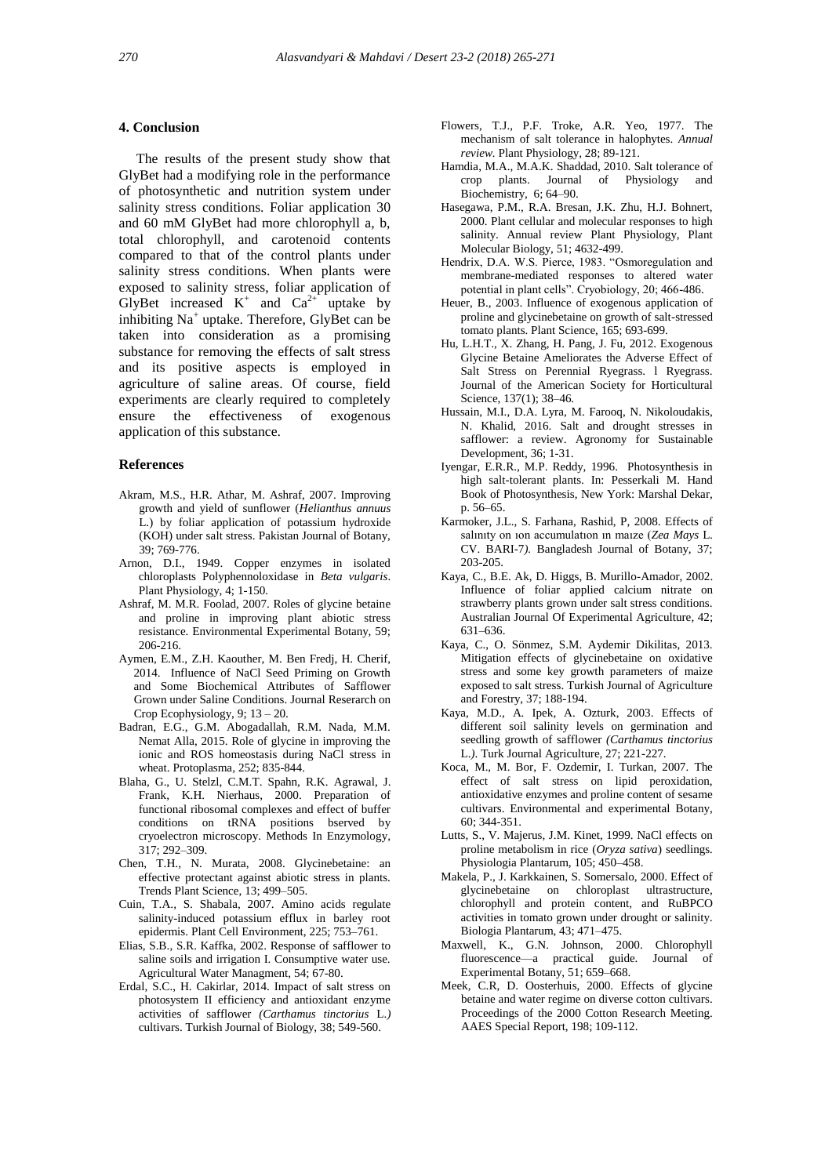#### **4. Conclusion**

 The results of the present study show that GlyBet had a modifying role in the performance of photosynthetic and nutrition system under salinity stress conditions. Foliar application 30 and 60 mM GlyBet had more chlorophyll a, b, total chlorophyll, and carotenoid contents compared to that of the control plants under salinity stress conditions. When plants were exposed to salinity stress, foliar application of GlyBet increased  $K^+$  and  $Ca^{2+}$  uptake by inhibiting Na<sup>+</sup> uptake. Therefore, GlyBet can be taken into consideration as a promising substance for removing the effects of salt stress and its positive aspects is employed in agriculture of saline areas. Of course, field experiments are clearly required to completely ensure the effectiveness of exogenous application of this substance.

#### **References**

- Akram, M.S., H.R. Athar, M. Ashraf, 2007. Improving growth and yield of sunflower (*Helianthus annuus*  L.) by foliar application of potassium hydroxide (KOH) under salt stress. Pakistan Journal of Botany, 39; 769-776.
- Arnon, D.I., 1949. Copper enzymes in isolated chloroplasts Polyphennoloxidase in *Beta vulgaris*. Plant Physiology, 4; 1-150.
- Ashraf, M. M.R. Foolad, 2007. Roles of glycine betaine and proline in improving plant abiotic stress resistance. Environmental Experimental Botany, 59; 206-216.
- Aymen, E.M., Z.H. Kaouther, M. Ben Fredj, H. Cherif, 2014. Influence of NaCl Seed Priming on Growth and Some Biochemical Attributes of Safflower Grown under Saline Conditions. Journal Reserarch on Crop Ecophysiology, 9; 13 – 20.
- Badran, E.G., G.M. Abogadallah, R.M. Nada, M.M. Nemat Alla, 2015. Role of glycine in improving the ionic and ROS homeostasis during NaCl stress in wheat. Protoplasma*,* 252; 835-844.
- Blaha, G., U. Stelzl, C.M.T. Spahn, R.K. Agrawal, J. Frank, K.H. Nierhaus, 2000. Preparation of functional ribosomal complexes and effect of buffer conditions on tRNA positions bserved by cryoelectron microscopy. Methods In Enzymology, 317; 292–309.
- Chen, T.H., N. Murata, 2008. Glycinebetaine: an effective protectant against abiotic stress in plants. Trends Plant Science, 13; 499–505.
- Cuin, T.A., S. Shabala, 2007. Amino acids regulate salinity-induced potassium efflux in barley root epidermis. Plant Cell Environment, 225; 753–761.
- Elias, S.B., S.R. Kaffka, 2002. Response of safflower to saline soils and irrigation I. Consumptive water use. Agricultural Water Managment, 54; 67-80.
- Erdal, S.C., H. Cakirlar, 2014. Impact of salt stress on photosystem II efficiency and antioxidant enzyme activities of safflower *(Carthamus tinctorius* L.*)*  cultivars. Turkish Journal of Biology, 38; 549-560.
- Flowers, T.J., P.F. Troke, A.R. Yeo, 1977. The mechanism of salt tolerance in halophytes. *Annual review.* Plant Physiology, 28; 89-121.
- Hamdia, M.A., M.A.K. Shaddad, 2010. Salt tolerance of crop plants. Journal of Physiology and Biochemistry, 6; 64–90.
- Hasegawa, P.M., R.A. Bresan, J.K. Zhu, H.J. Bohnert, 2000. Plant cellular and molecular responses to high salinity. Annual review Plant Physiology, Plant Molecular Biology, 51; 4632-499.
- Hendrix, D.A. W.S. Pierce, 1983. "Osmoregulation and membrane-mediated responses to altered water potential in plant cells". Cryobiology, 20; 466-486.
- Heuer, B., 2003. Influence of exogenous application of proline and glycinebetaine on growth of salt-stressed tomato plants. Plant Science, 165; 693-699.
- Hu, L.H.T., X. Zhang, H. Pang, J. Fu, 2012. Exogenous Glycine Betaine Ameliorates the Adverse Effect of Salt Stress on Perennial Ryegrass. l Ryegrass. Journal of the American Society for Horticultural Science, 137(1); 38–46*.*
- Hussain, M.I., D.A. Lyra, M. Farooq, N. Nikoloudakis, N. Khalid, 2016. Salt and drought stresses in safflower: a review. Agronomy for Sustainable Development*,* 36; 1-31.
- Iyengar, E.R.R., M.P. Reddy, 1996. Photosynthesis in high salt-tolerant plants. In: Pesserkali M. Hand Book of Photosynthesis, New York: Marshal Dekar, p. 56–65.
- Karmoker, J.L., S. Farhana, Rashid, P, 2008. Effects of salınıty on ıon accumulatıon ın maıze (*Zea Mays* L*.*  CV. BARI-7*).* Bangladesh Journal of Botany, 37; 203-205.
- Kaya, C., B.E. Ak, D. Higgs, B. Murillo-Amador, 2002. Influence of foliar applied calcium nitrate on strawberry plants grown under salt stress conditions. Australian Journal Of Experimental Agriculture, 42; 631–636.
- Kaya, C., O. Sönmez, S.M. Aydemir Dikilitas, 2013. Mitigation effects of glycinebetaine on oxidative stress and some key growth parameters of maize exposed to salt stress. Turkish Journal of Agriculture and Forestry, 37; 188-194.
- Kaya, M.D., A. Ipek, A. Ozturk, 2003. Effects of different soil salinity levels on germination and seedling growth of safflower *(Carthamus tinctorius*  L.*)*. Turk Journal Agriculture, 27; 221-227.
- Koca, M., M. Bor, F. Ozdemir, I. Turkan, 2007. The effect of salt stress on lipid peroxidation, antioxidative enzymes and proline content of sesame cultivars. Environmental and experimental Botany, 60; 344-351.
- Lutts, S., V. Majerus, J.M. Kinet, 1999. NaCl effects on proline metabolism in rice (*Oryza sativa*) seedlings*.* Physiologia Plantarum, 105; 450–458.
- Makela, P., J. Karkkainen, S. Somersalo, 2000. Effect of glycinebetaine on chloroplast ultrastructure, chlorophyll and protein content, and RuBPCO activities in tomato grown under drought or salinity*.*  Biologia Plantarum, 43; 471–475.
- Maxwell, K., G.N. Johnson, 2000. Chlorophyll fluorescence—a practical guide. Journal of Experimental Botany, 51; 659–668.
- Meek, C.R, D. Oosterhuis, 2000. Effects of glycine betaine and water regime on diverse cotton cultivars. Proceedings of the 2000 Cotton Research Meeting. AAES Special Report, 198; 109-112.